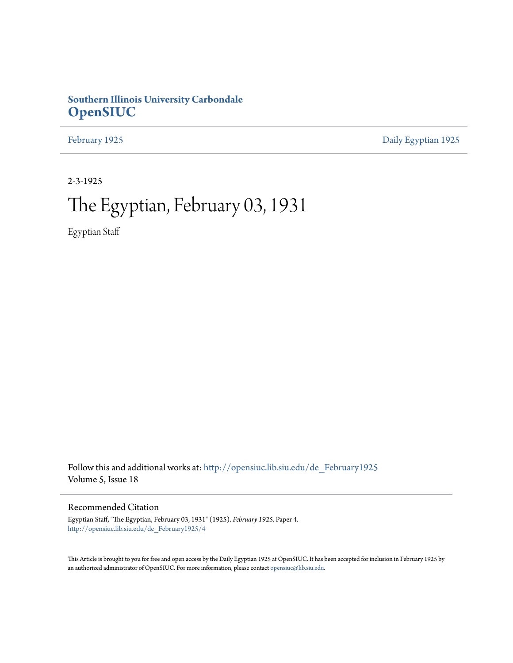## **Southern Illinois University Carbondale [OpenSIUC](http://opensiuc.lib.siu.edu?utm_source=opensiuc.lib.siu.edu%2Fde_February1925%2F4&utm_medium=PDF&utm_campaign=PDFCoverPages)**

[February 1925](http://opensiuc.lib.siu.edu/de_February1925?utm_source=opensiuc.lib.siu.edu%2Fde_February1925%2F4&utm_medium=PDF&utm_campaign=PDFCoverPages) [Daily Egyptian 1925](http://opensiuc.lib.siu.edu/de_1925?utm_source=opensiuc.lib.siu.edu%2Fde_February1925%2F4&utm_medium=PDF&utm_campaign=PDFCoverPages)

2-3-1925

## The Egyptian, February 03, 1931

Egyptian Staff

Follow this and additional works at: [http://opensiuc.lib.siu.edu/de\\_February1925](http://opensiuc.lib.siu.edu/de_February1925?utm_source=opensiuc.lib.siu.edu%2Fde_February1925%2F4&utm_medium=PDF&utm_campaign=PDFCoverPages) Volume 5, Issue 18

#### Recommended Citation

Egyptian Staff, "The Egyptian, February 03, 1931" (1925). *February 1925.* Paper 4. [http://opensiuc.lib.siu.edu/de\\_February1925/4](http://opensiuc.lib.siu.edu/de_February1925/4?utm_source=opensiuc.lib.siu.edu%2Fde_February1925%2F4&utm_medium=PDF&utm_campaign=PDFCoverPages)

This Article is brought to you for free and open access by the Daily Egyptian 1925 at OpenSIUC. It has been accepted for inclusion in February 1925 by an authorized administrator of OpenSIUC. For more information, please contact [opensiuc@lib.siu.edu.](mailto:opensiuc@lib.siu.edu)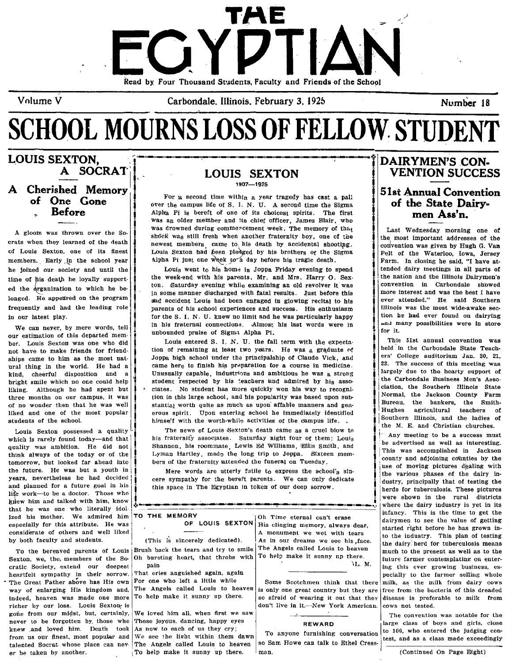

Volume V Carbondale, Illinois. February 3. 1925 Number 18

# **SCHOOL MOURNS LOSS OF FELLOW STUDENT**

#### LOUIS SEXTON. A SOCRAT Cherished Memory of One Gone Before  $\cdot^*$  . (iii) (iii) (iii) (iii) (iii) (iii) (iii) (iii) (iii) (iii) (iii) (iii) (iii) (iii) (iii) (iii) (iii) (iii) (iii) (iii) (iii) (iii) (iii) (iii) (iii) (iii) (iii) (iii) (iii) (iii) (iii) (iii) (iii) (iii) (iii) (i

A gloom was thrown over the So· crats when they learned of the death

our estimation of this departed mem.<br>
our estimation of this departed mem.<br>
Note that is dependent on the did in the state of S. I. N. U. the fall term with the expecta.<br>
In the fall term with the expecta.

tomorrow, but idoked ar allead move of the rate are all the definition of the school's singlet are all the second of the define  $\frac{1}{2}$  intervals of moving pictures dealing with vears, nevertheless he had decided and planned for a future goal in his<br>life work—to be a doctor. Those who 1iked and one of the most oppular in the solution of the most oppular tens one which is series the solution of the most oppular tens of the solution of the most oppular tens of the solution of the most oppular tens of the that he was one who literally  $\frac{1}{10}$  is the memorial infancy of  $\frac{1}{10}$  infancy. This is the time the dairy industry is yet in its that he was one was one was one was one was one was one who literally idol in  $\frac{1$ ized his mother. We admired him **TO THE MEMORY**<br>especially for this attribute. He was **OF LOUIS SEXTON** especially for this attribute. He was  $\overline{OP}$  LOUIS SEXTON His clinging memory, always dear, dairymen to see the value of getting considerate of others and well liked  $\overline{OP}$  LOUIS SEXTON His clinging memory, always dea

Sexton, we, the, members of the So. Oh bursting heart, that throbs with To help make it sunny up there. cratic Society, extend our deepest  $\begin{vmatrix} \text{pain} \\ \text{heart} \end{vmatrix}$  and the main again, again heartfelt sympathy in their sorrow. That cries anguished again, again, again, again, again, again, again, again, again, again, again, again, again, again, again, again, again, again, again, again, again, again, again, aga The Great Father above has His own For one who left a little while<br>way of enlarging His kingdom and The Angels called Louis to heaven way of enlarging His kingdom and, The Angels called Louis to heaven was made one more To help make it suppy up there. indeed, heaven was made one more richer by our loss. Louis Sexton; is gone from our midst, but, certainly, We loved him all, when first we saw never to be forgotten by those who Those joyous, dancing, happy eyes knew .and loved him. Death took As now to each of us they cry;<br>from us our finest, most popular and We see the light within them dawn from us our finest, most popular and talented Socrat whose place can nev The Angels called Louis to heaven er be taken by another. To help make it sunny up there.

#### LOUIS SEXTON 1907-1925

**...............** ;

For a second time within a year tragedy has cast a pall over the campus life of S. I. N. U. A second time the Sigma Alpha Pi is bereft of one of its choicest spirits. The first was an older member and its chief officer. James Blair, who was drowned during comme cement week. The memory of that  $\|\cdot\|$  Last Wednesday morning one of shock was still fresh when another fraternity boy, one of the  $\|\cdot\|$  the most important addresses of the newest members, came to his death by accidental shooting.  $\int$  convention was given by Hugh G. Van of Louis Sexton, one of its finest | Louis Sexton had been pledged by his brothers of the Sigma Pelt of the Waterloo, Iowa, Jersey members. Early in the school year  $\|\cdot\|$  alpha Pi just one week to a day before his tragic death.  $\|\cdot\|$  Farm. In closing he said, "I have at-

he joined our society and until the Louis went to his hom-, in Joppa Friday evening to spend tended dairy meetings in all parts of the week-end with his parents. Mr. and Mrs. Harry O. Sex. the nation and the Illinois Dairy time of his death he loyally support-<br>top the week-end with his parents, Mr. and Mrs. Harry O. Sex.<br>convention in Carbondale showed ed the dreamization to which he be.  $\begin{bmatrix} 1 \\ 1 \end{bmatrix}$  ton. Saturday evening while examining an old revolver it was convention in Carbondale showed in some manner discharged with fatal results. Just before this  $\frac{1}{2}$  more interest and was the best I have stad accident Louis had been engaged in glowing recital to bis longed. He appeared on the program state and accident Louis had been engaged in glowing recital to his ever attended." He said Southern<br>frequently and had the leading role in parents of his school experiences and success. parents of his school experiences and success. His enthusiasm  $\int_{0}^{1}$  | Hinois was the most wide-awake section the S. I. N. U. knew no limit and he was particularly happy in our latest play.<br>in his fraternal connections. Almost his last words were in the had ever found on dairying<br>and many possibilities were in store We can never, by mere words, tell  $\left|\right|$  in his fraternal connections. Almost his last words were in  $\left|\right|$  and many possibilities of Sigma Alpha Bi

ber. Louis Sexton was one who did is the sextered S. I. N. U. the fall term with the expecta.<br>
not have to make friends for friend. not have to make friends for friends for friendal connections. Almost his dast words were in the connection of this departed memi-<br>I tion of the carbondale State Teach-<br>I held in the Carbondale State Teach-<br>I held in the C ships came to him as the most nat-<br>ships came to him as the most nat-<br>was the most national came here in finish his preparation for a course in medicine.<br>exame here in finish his preparation for a course in medicine. ural thing in the world. He had a  $\begin{bmatrix} 1 & 2 & 2 \\ 0 & 1 & 2 \end{bmatrix}$  came here to finish his preparation for a course in medicine.  $\begin{bmatrix} 22. & The success of this meeting was 12, 22. & The success of this meeting was 22. & The success of this meeting was 12. & The success of this meeting was 22.$ Unusually capable, industrious and ambitious he was a strong  $\frac{1}{k}$  largely due to the hearty support of bright smile which no one could help  $\begin{bmatrix} 0 \end{bmatrix}$  student respected by his teachers and admired by his asso-<br>History Although he had spent but  $\begin{bmatrix} 1 \end{bmatrix}$  the city of the Carbon outgotten and the spent of the Car liking. Although he had spent but  $\begin{bmatrix} 1 \\ 1 \end{bmatrix}$  ' ciates. No student has more quickly won his way to recogni-<br>these menths are any compute it was in this large school, and his popularity was based upon subthree months on our campus, it was  $\parallel$  ion in this large school, and his popularity was based upon sub.<br>I limit is stantial worth quite as much as upon affable manners and gen. Bureau, the bankers, the Smithstantial worth quite as much as upon affable manners and gen-<br>  $\begin{array}{c} \begin{array}{c} \text{Bureau, the banks are required to be a specific value.} \\ \text{Hughes} \end{array} \end{array}$ liked and one of the most popular  $\begin{bmatrix} 1 \ 1 \ 2 \ 3 \end{bmatrix}$  erous spirit. Upon entering school he immediately identified  $\begin{bmatrix} 1 \ 1 \ 2 \ 3 \end{bmatrix}$  surfactural teachers of students of the school. himse'f with the worth-while activities of the dampus life. . Fiking. Although he had spent but the case of the spectrum of the spectrum of the months on our campus, it was<br>of no wonder then that he was well states. No student has more quickly won his way to recogni-<br>of no wonder the

which is rarely found today—and that this internative associates. Saturday ment for them: Louis<br>
quality was ambition. He did not a Shannon, his roommate, Lewis Ed Williams, Ellis Smith, and the advertised as well as inter  $\begin{bmatrix} \text{the} \\ \text{the} \\ \text{the} \\ \text{the} \\ \text{the} \\ \text{the} \\ \text{the} \\ \text{the} \\ \text{the} \\ \text{the} \\ \text{the} \\ \text{the} \\ \text{the} \\ \text{the} \\ \text{the} \\ \text{the} \\ \text{the} \\ \text{the} \\ \text{the} \\ \text{the} \\ \text{the} \\ \text{the} \\ \text{the} \\ \text{the} \\ \text{the} \\ \text{the} \\ \text{the} \\ \text{the} \\ \text{the} \\ \text{the} \\ \text{the} \\ \text{the} \\ \text{the} \\ \text{the} \\ \text{the} \\ \text{the$ 

> Mere words are utterly futile to express the school's sin-<br>the various phases of the dairy in-<br> $\frac{1}{2}$ cere sympathy for the bereft parents. We can only dedicate  $\frac{d}{d}$  dustry, principally that of testing the this space in The Egyptian in token of our deep sorrow.<br>I herds for tuberculosis. These pictures

IL. M.

don't live in it.-New York American. cows not tested.

so Sam Howe can talk to Ethel Cress-<br>man.

## DAIRYMEN'S CON-VENTION SUCCESS 51st Annual Convention of the State Dairy-<br>men Ass'n.

the M. E. and Christian churches.<br>Any meeting to be a success must started right before he has grown in-<br>to the industry. This plan of testing oonsiderate of others and well liked<br>by both faculty and students. (This is sincerely dedicated).<br>To the bereaved parents of Louis Brush back the tears and try to smile The Angels called Louis to heaven<br>To the bereaved par much to the present as well as to the future farmer contemplating on enter· ing this ever growing business, es· pecially to the farmer selling whole Some Scotchmen think that there  $\vert$  milk, as the milk from dairy cows is only one great country but they are free from the bacteria of this dreaded so afraid of wearing it out that they disease is preferable to milk from

> The convention was notable for the REWARD  $\begin{bmatrix} \text{large class of boys and girls, close} \\ \text{furningalting.} \end{bmatrix}$  to 100, who entered the judging con-To anyone furnishing conversation  $\begin{bmatrix} 10 & 100 \\ 100 & 100 \end{bmatrix}$  and as a class made exceedingly

> > (Continued On Page Eight)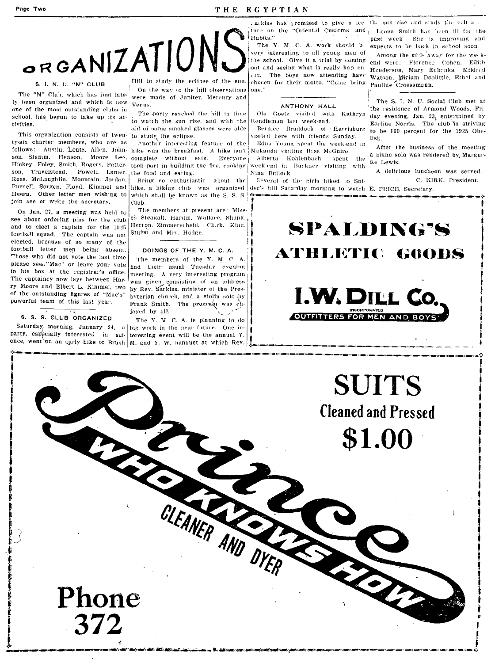# ORGANIZATIOI

#### S. L. N. LL. "N" CLUB

ly been organized and which is now one of the most outstanding clubs in school, has begun to take up its activities.

This organization consists of twenty-six charter members, who are as follows: Austin, Lentz, Allen, John- hike was the breakfast. A hike isn't Makanda visiting Bass McGuire. son, Slumm. Henson, Moore, Lee, complete without eats. Everyone Hickey, Foley, Smith, Rogers, Patterson. Travelstead Powell Lamer Ross. McLaughlin. Mountain, Jordan. Purnell, Sorgen, Floyd, Kimmel and hike, a hiking club was organized. der's hill Saturday morning to watch E. PRICE, Secretary. Heern. Other letter men wishing to join see or write the secretary,

On Jan. 27, a meeting was held to see about ordering pins for the club and to elect a captain for the 1925 football squad. The captain was not elected, because of so many of the football letter men being absent. Those who did not vote the last time please see<sub>p</sub> "Mac" or leave your vote in his box at the registrar's office. The captaincy now lays between Harry Moore and Elbert L. Kimmel, two of the outstanding figures of "Mac's" powerful team of this last year.

S. S. S. CLUB ORGANIZED

party, especially interested in sci-teresting event will be the annual Y.

Hill to study the eclipse of the sun On the way to the hill observations The "N" Club, which has just late were made of Jupiter. Mercury and **Venus** 

> The party reached the hill in time to watch the sun rise, and with the aid of some smoked glasses were able to study the eclipse.

> Another interesting feature of the took part in building the fire, cooking the food and eating.

> Being so enthusiastic about the which shall be known as the S. S. S.  $Clnh$ .

The members at present are: Misses Steagall, Hardin, Wallace, Shank, Herron, Zimmerscheid, Clark, King, Sturm and Mrs. Hodge.

#### DOINGS OF THE Y. M. C. A.

The members of the Y. M. C. A. had their usual Tuesday evening meeting. A very interesting program was given consisting of an address by Rev. Sarkiss, minister of the Presbyterian church, and a violin solo by Frank Smith. The program was enjoyed by all.

The Y. M. C. A. is planning to do Saturday morning, January 24, a big work in the near future. One inence, went on an early hike to Brush  $\vert$  M. and Y. W. banquet at which Rev.

CLEANER AND DI

arkiss has promised to give a locathe sun rise and study the ech sture on the "Oriental Customs and | Leona Smith has been ill for the Habits "

The Y. M. C. A. work should b very interesting to all young men of the school. Give it a trial by coming out and seeing what is really hap en ing. The boys now attending have chosen for their motto. "Come bring pauline Croessmann. one."

#### ANTHONY HALL

Ola Goetz visited with Kathryn Rendleman last week-end

Bernice Braddock of Harrisburg visited here with friends Sunday. Edna Young spent the week-end in Alberta Kohlenbach spent the week-end in Buckner visiting with

Nina Bullock. Several of the girls hiked to Sni-

past week. She is improving and expects to be back in school soon

Among the girls away for the weekend were: Florence Cohen. Edith Henderson, Mary Eubruks, Mildred Watson, Miriam Doolittle, Ethel and

The S. I. N. U. Social Club met at the residence of Armond Woods, Friday evening, Jan. 23, entertained by Earline Norris. The club is striving to be 100 percent for the 1925 Obelisk

After the business of the meeting a piano solo was rendered by Margurite Lewis.

A delicious luncheon was served. C. KIRK, President.

**SPALDING'S ATHLETIC GOODS** I.W. DILL Co. INCORPORATED<br>OUTFITTERS FOR MEN AND BOYS

> **SUITS Cleaned and Pressed** \$1.00

Phone 372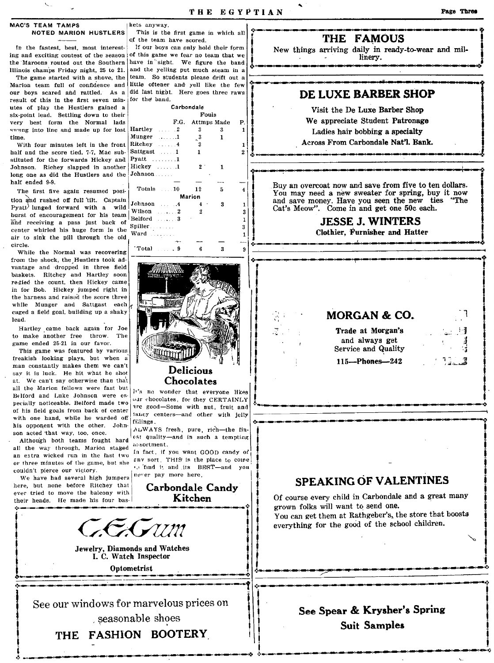#### MAC'S TEAM TAMPS **NOTED MARION HUSTLERS**

kets anyway.

Hartley

Munger

Totals

Johnson

Wilson ......2

Belford ......

Spiller.

Total

Ward

of the team have scored.

This is the first game in which all

If our boys can only hold their form

did last night. Here goes three raws

Carbondale

F.G.

 $\overline{2}$ 

 $\mathbf{f}$ 

 $10$ 

 $\overline{4}$ 

 $\mathbf{R}$ 

 $\cdot$  9

 $\sim$  4

 $F \cdot \text{mls}$ 

 $\mathbf{R}$ 

 $\overline{3}$ 

 $\mathbf{r}$ 

 $\mathbf{1}$ 

2

 $12$ 

 $\boldsymbol{4}$ 

 $\overline{2}$ 

6

**Delicious** 

Chocolates

are good-Some with nut, fruit and

tancy centers-and other with jelly

ALWAYS fresh, pure, rich-the fin-

est quality-and in such a tempting

in fact, if you want GOOD candy of

any sort. THIS is the place to come

. find it and its BEST-and you

Carbondale Candy

Kitchen

Marion

Attmps Made

 $\mathbf{R}$ 

 $\mathbf{1}$ 

1

 $\overline{5}$ 

 $\mathbf{R}$ 

 $\mathbf{3}$ 

In the fastest, best, most interesting and exciting contest of the season of this game we fear no team that we the Maroons routed out the Southern have in sight. We figure the band and the yelling put much steam in a Illinois champs Friday night, 25 to 21. team. So students please drift out a

The game started with a shove, the Marion team full of confidence and little oftener and yell like the few our boys scared and rattled. As a for the band. result of this in the first seven minutes of play the Hustlers gained a six-point lead. Settling down to their very best form the Normal lads swung into line and made up for lost time.

**Ritchev** With four minutes left in the front half and the score tied, 7-7, Mac sub-Sattgast Pyatt  $\dots \dots 1$ stituted for the forwards Hickey and Hickey ......1 Johnson. Richev slapped in another long one as did the Hustlers and the Johnson half ended 9-9.

The first five again resumed position and rushed off full tilt. Captain Pyatt<sup>)</sup> lunged forward with a wild burst of encouragement for his team and receiving a pass just back of center whirled his huge form in the air to sink the pill through the old circle.

While the Normal was recovering from the shock, the Hustlers took advantage and dropped in three field baskets. Ritchey and Hartley soon re-tied the count, then Hickey came in for Bob. Hickey jumped right in the harness and raised the score three while Munger and Sattgast each caged a field goal, building up a shaky lead.

Hartley came back again for Joe to make another free throw. The game ended 25-21 in our favor.

This game was featured by various freakish looking plays, but when a man constantly makes them we can't say it is luck. He hit what he shot at. We can't say otherwise than that all the Marion fellows were fast but Belford and Luke Johnson were especially noticeable. Belford made two of his field goals from back of center with one hand, while he warded off his opponent with the other. Johnson acted 'that way, too, once.

Although both teams fought hard all the way through. Marion staged an extra wicked run in the last two or three minutes of the game, but she couldn't pierce our victory.

We have had several high jumpers here, but none before Ritchey that ever tried to move the baleony with their heads. He made his four basTHE EGYPTIAN

 $\overline{P}$ .

 $\mathbf{1}$ 

 $\mathbf{1}$ 

 $\overline{2}$ 

 $\overline{4}$ 

 $\mathbf{1}$ 

 $\bf{3}$ 

 $\mathbf{1}$ 

 $\mathbf{3}$ 

 $\mathbf{1}$ 

 $\bf{Q}$ 

THE FAMOUS

New things arriving daily in ready-to-wear and mil-

linery.

#### DE LUXE BARBER SHOP

Visit the De Luxe Barber Shop We appreciate Student Patronage Ladies hair bobbing a specialty Across From Carbondale Nat'l. Bank.

Buy an overcoat now and save from five to ten dollars. You may need a new sweater for spring, buy it now and save money. Have you seen the new ties "The Cat's Meow". Come in and get one 50c each.

## **JESSE J. WINTERS**

Clothier, Furnisher and Hatter



#### **SPEAKING OF VALENTINES**

Of course every child in Carbondale and a great many grown folks will want to send one.

You can get them at Rathgeber's, the store that boosts everything for the good of the school children.



fillings.

as sortment.

never pay more here.

**Jewelry**, Diamonds and Watches I. C. Watch Inspector

Optometrist

See our windows for marvelous prices on seasonable shoes

THE FASHION BOOTERY

See Spear & Krysher's Spring **Suit Samples**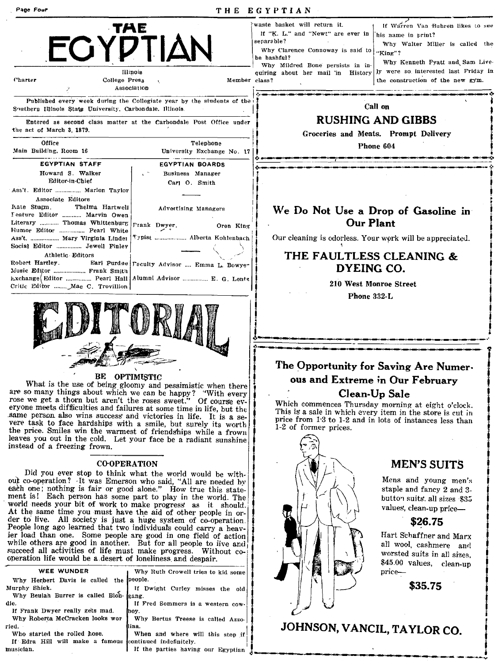#### THE EGYPTIAN

|                                                                                    |                                                                        | waste oask<br>If "K. L.<br>separable?<br>Why Cla<br>be bashful<br>Why Mi |
|------------------------------------------------------------------------------------|------------------------------------------------------------------------|--------------------------------------------------------------------------|
| <b>Charter</b><br>College Press                                                    | Illinois<br>Member class?<br>x.                                        | quiring at                                                               |
| z                                                                                  | Association                                                            |                                                                          |
| Southern Illinois State University, Carbondale, Illinois.                          | Published every week during the Collegiate year by the students of the |                                                                          |
| the act of March 3, 1879.                                                          | Entered as second class matter at the Carbondale Post Office under     |                                                                          |
| Office<br>Main Building, Room 16                                                   | Telephone<br>University Exchange No. 17                                |                                                                          |
| <b>EGYPTIAN STAFF</b>                                                              | <b>EGYPTIAN BOARDS</b>                                                 |                                                                          |
| Howard S. Walker                                                                   | Business Manager                                                       |                                                                          |
| <b>Editor-in-Chief</b>                                                             | Carl O. Smith                                                          |                                                                          |
| Ass't. Editor  Marion Taylor                                                       |                                                                        |                                                                          |
| Associate Editors<br>Thelma Hartwell<br>Kate Stugm.<br>Feature Editor  Marvin Owen | Advertising Managers                                                   | $\mathrm{W}_{\boldsymbol{\epsilon}}$                                     |
| Literary  Thomas Whittenburg<br>Humor Editor  Pearl White                          | Frank Dwyer.<br>Oren King                                              |                                                                          |
| Ass't.  Mary Virginia Linder                                                       | Typist  Alberta Kohlenbach                                             | Our                                                                      |
| Social Editor  Jewell Finley                                                       |                                                                        |                                                                          |
| Athletic Editors                                                                   | Robert Hartley. Earl Purdue Taculty Advisor  Emma L. Bowye-            |                                                                          |
| Music Editor  Frank Smith                                                          |                                                                        |                                                                          |
| Critic Editor  Mae C. Trovillion                                                   | hxchange (Editor  Pearl Hall   Alumni Advisor  E. G. Lentz             |                                                                          |
|                                                                                    |                                                                        |                                                                          |



#### BE **OPTIMISTIC**

What is the use of being gloomy and pessimistic when there<br>so many things about which we can be happy? "With every are so many things about which we can be happy? rose we get a thorn but aren't the roses sweet." Of course everyone meets difficulties and failures at some time in life, but the same person also wins success and victories in life. It is a se-<br>vere task to face hardships with a smile, but surely its worth the price. Smiles win the warmest of friendships while a frown leaves you out in the cold. Let your face be a radiant sunshine instead of a freezing frown.

#### **CO-OPERATION**

Did you ever stop to think what the world would be with-<br>out co-operation? It was Emerson who said, "All are needed by<br>each one; nothing is fair or good alone." How true this statement is! Each person has some part to play in the world. The world needs your bit of work to make progress as it should. At the same time you must have the aid of other people in order to live. All society is just a huge system of co-operation. People long ago learned that two individuals could carry a heavier load than one. Some people are good in one field of action<br>while others are good in another. But for all people to live and succeed all activities of life must make progress. Without cooperation life would be a desert of loneliness and despair.

| Why Ruth Crowell tries to kid some      |
|-----------------------------------------|
| people.                                 |
| If Dwight Curley misses the old         |
| Why Beulah Burrer is called Blon- sang. |
| If Fred Sommers is a western cow-       |
| boy.                                    |
| Why Bertus Treese is called Azzo-       |
| lina.                                   |
| When and where will this stop if        |
| continued indefinitely.                 |
| If the parties having our Egyptian      |
|                                         |

uste basket will return it. " and "Newt" are ever in  $\vert$  his name in print?

rence Connoway is said to  $\mu_{\text{King}}$ ? Idred Bone persists in inoout her mail 'in History

If Warren Van Buhren likes to see

Why Walter Miller is called the

Why Kenneth Pyatt and Sam Lively were so interested last Friday in the construction of the new gym.

#### Call on

#### **RUSHING AND GIBBS**

Groceries and Meats. Prompt Delivery

Phone 604

#### **Bo Not Use a Drop of Gasoline in Our Plant**

cleaning is odorless. Your work will be appreciated.

#### **THE FAULTLESS CLEANING & DYEING CO.**

210 West Monroe Street Phone 332-L

#### The Opportunity for Saving Are Numer. ous and Extreme in Our February Clean-Up Sale

Which commences Thursday morning at eight o'elock. This is a sale in which every item in the store is cut in price from 1.3 to 1-2 and in lots of instances less than 1-2 of former prices.



### **MEN'S SUITS**

Mens and young men's staple and fancy 2 and 3button suits. all sizes \$35 values, clean-up price-

#### \$26.75

Hart Schaffner and Marx all wool, cashmere and worsted suits in all sizes. \$45.00 values, clean-up price-

\$35.75

## JOHNSON, VANCIL, TAYLOR CO.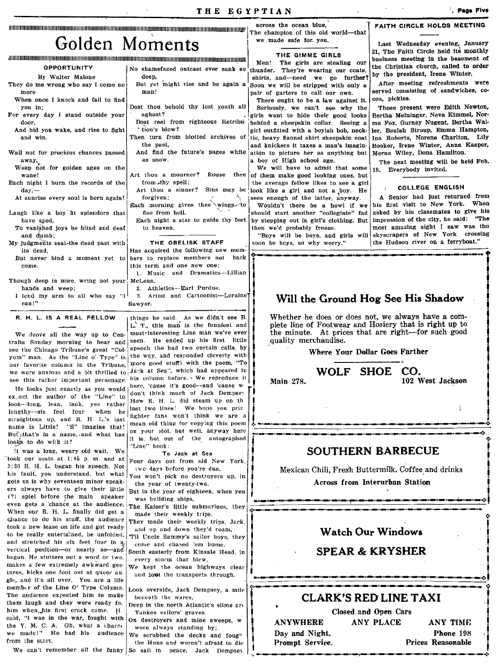$\text{The charmonomorphism theorem, of this old world—that is a good case of the case.} \begin{array}{c} \text{across the ocean blue,} \\ \text{The champion of this old world—that} \\ \text{we made safe for you.} \end{array}$ 

#### By Walter Malone

They do me wrong who say I come no more

When once I knock and fail to find you in;

For every day I stand outside your door,

And bid you wake, and rise to fight and win.

Wail not for precious chances passed away,

Weep not for golden ages on the wane!

Each night I burn the records of the day,-

At sunrise every soul is born again!

- Laugh like a boy at splendors that have sped,<br>To vanished joys be blind and deaf
- 
- My judgments seal-the dead past with its dead, has acquired the following new mem-
- 
- Though deep in mire, wring not your McLean. I lend my arm to all who say "I
- can!"

R. H. L. IS A REAL FELLOW

tralia Sunday morning to hear and seen. He ended up his first little<br>see the Chicago Tribune's great "Col. speech (he had two curtain calls, by see the Chicago Tribune's great "Col- speech (he had two curtain calls, by<br>yum" man . As the "Line o' Type" is the way, and responded cleverly with yum" man, As the "Line o' Type" is the way, and responded cleverly with our favorite column in the Tribune more good stuff) with the poem, "To our favorite column in the Tribune,

lengthy--six feet four when he name is Little! "S" imagine that! But that's in a name, and what has looks to do with it?

!t was a long, weary old wait. We took our seats at 1:45 p.m. and at 3:30 R. H. L. began his speech. Not his fault von understand but what gets us is why seventeen minor speakers always have to give their little (?) spiel before the main speaker even gets a chance at the audience. When our R. H. L. finally did get a chance to do his stuff, the audience took a new lease on life and got ready to be really entertained, he unfolded, and stretched his six feet four in a vertical position-or nearly so-and began. He stutters out a word or two. makes a few extremely awkward gestures, kicks one foot out at queer angle, and it's all over. You are a life member of the Line O' Type Column. The audience expected him to make them laugh and they were ready fo, him when, his first crack came. H said, "I was in the war, fought with the Y. M. C. A. Oh, what a charge we made!" He had his audience from the start.

- Dost reel from righteous Retribu-<br>'tion's blow?
- 
- 
- 
- 
- 
- to heaven.  $\begin{cases} \text{then we'd probably freeze.} \end{cases}$

But never bind a moment yet to bers to replace members not back come. this term and one new one: 1. Music and Dramatics-Lillian

hands and weep;  $\begin{vmatrix} 2. & \text{Athletics--} \text{Earl} \end{vmatrix}$  Purdue.<br>
lend my arm to all who say " $\begin{vmatrix} 1 & 3. & \text{Artist} \end{vmatrix}$  and Cartoonist-Loraine" Sawyer.

things he said. As we didn't see B. L<sup> $\lambda$ </sup> T., this man is the funniest and most-interesting Line man we've ever We drove all the way up to Cen. most interesting Line man we've ever<br>ally Sunday morning to hear and seen. He ended up his first little we were anxious and a bit thrilled to Jack at Sea", which had appeared in see this rather important personage. his column before. We reproduce it see this rather important personage. here 'cause it's good--and 'cause w He looks just exactly as you would here, 'cause it's good--and 'cause w' ex.,ect the author of the "Line" to don't think much of Jack Dempse.<br>look--long, lean. lank. yes rather How R, H, L, did steam up on the fighter fans won't think we are a mean old thing for copying this poem on your idol, but well, anyway here it is, hot out of the autographed 'Line" book:

To Jack at Sea Four days out from old New York

two-days before you're due, You won't pick no destroyers up, in

the year of twenty-two. But in the year of eighteen, when you

was building ships.

The Kaiser's little submarines, they made their weekly trips.

They made their weekly trips, Jack. and up and down they'd roam.

Til Uncle Sammy's sailor boys, they come and chased 'em home.

South easterly from Kinsale Head, in every storm that blew,

We kept the ocean highways clear and brot the transports through.

Look overside, Jack Dempsey, a mile beneath the wares.

Deep in the north Atlantic's slime are Yankee sailots' graves.

On destroyers and mine sweeps, w were always standing by; We scrubbed the decks and fough

We can't remember all the funny So sail in peace. Jack Dempsey the Huns and weren't afraid to die

ANNONG THE GIMME GIRLS<br>
OPPORTUNITY | No shamefaced outcast ever sank so thunder. They're wearing our<br>
By Walter Malone (Reep, deep, deep, deep, and not all the sixthered we go further?) o shamefaced outcast ever sank so thunder. They're wearing our coats,<br>deep,<br>But yet might rise and be again a Soon we will be stripped with only a ut yet might rise and be again a Soon we will be stripped with only a man! pair of garters to call our own.

There ought to be a law against it. Dost thou behold thy lost youth all Seriously, we can't see why the aghast? girls want to hide their good looks I ' behind a sheepskin collar, Seeing a 'tion's blow?<br>Then turn from blotted archives of tie beavy flannel shirt sheepskin coat In turn from blotted archives of  $\begin{vmatrix} 1 & b & c \end{vmatrix}$  tie, heavy flannel shirt sheepskin coat the past. the past,<br>And find the future's pages white ation to picture her as anything but nd find the future's pages white ation to picture her as anything but<br>as snow. a boy of High school age.

We will have to admit that some Art thou a mourner? Rouse thee of them make good looking ones, but<br>from thy spell:<br>the average fellow likes to see a girl from thy spell;<br>Art thou a sinner? Sins may be look like a girl and not a boy. He rt thou a sinner? Sins may be look like a girl and not a boy. He forgiven; as snow.<br>
as snow.<br>
thou a mourner? Rouse the of them make good looking ones, but<br>
from thy spell;<br>
thou a sinner? Sins may be look like a girl and not a boy.<br>
forgiven;<br>
thou a sinner? Sins may be look like a girl and not

Each morning gives thee \wings-/to Wouldn't there be a howl if we flee from hell. should start another "collegiate" fad Each night a star to guide thy feet by stepping out in girl's clothing. But

Last Wednesday evening, January 21, The Faith Circle held Its monthly business meeting in the basement of the Christian church, called to order by the president, Irene Winter.

FAITH CIRCLE HOLDS MEETING

After meeting refreshments were served consisting of sandwiches, co-<br>coa, pickles.

Those present were Edith Newton, Bertha Meininger, Neva Kimmel, Norma Fox, Gurney Nugent, Bertha Waller, Beulah Stroup, Emma Hampton, Ina Roberts, Norene Chariton, Lily Booker, frene Winter, Anna Kasper, Merna Wiley, Dona Hamilton.

The next meeting will be held Feb. 18. Everybody invited.

#### COLLEGE ENGLISH

A' Senior had jUst returned from his first visit to New York. When asked by bis classmates to give his impression of the city. he said: "The o vanished joys be blind and deaf to heaven.<br>
and dumb: "Boys will be boys, and girls will skyscrapers of New York crossing And dehistive boys, and girls will skyscrapers of New York cross<br>THE OBELISK STAFF soon be boys, so why worry." the Hudson river on a ferryboat." then we'd probably freeze. The most amazing sight I saw was the "Boys will be boys, and girls will skyscrapers of New York cross:<br>soon be boys, so why worry." the Hudson river on a ferryboat."

#### Will the Ground Hog See His Shadow

 $\begin{bmatrix} 1 & 1 \\ 0 & 0 \\ 0 & 0 \end{bmatrix}$ Whether he does or does not, we always have a complete line of Footwear and Hosiery that is right up to the minute. At prices that are right-for such good quality merchandise.

Where Your Dollar Goes Farther

WOLF SHOE CO.

-!. ~----------~--~---..... --

|<br>|<br>|<br>|

t I

ļ

|<br>| į.

Main 278. 102 West Jackson

#### SOUTHERN BARBECUE

Mexican Chili. Fresh Buttermilk, Coffee and drinks Across from Interurban Station

#### **Watch Our Windows**

#### **SPEAR & KRYSHER**

#### **CLARK'S RED LINE TAXI**

Closed and Open Cars **ANYWHERE ANY PLACE** Day and Night. Prompt Service. Prices Reasonable

ANY TIME Phone 198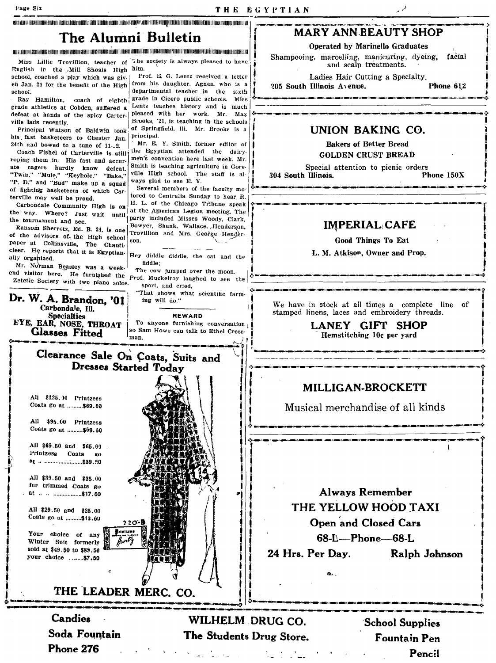principal.

son.

fiddle;

Prof. E. G. Lentz received a letter

from his daughter, Agnes, who is a

departmental teacher in the sixth

grade in Cicero public schools. Miss Lentz teaches history and is much

pleased with her work. Mr. Max

Brooks, '21, is teaching in the schools

of Springfield, Ill. Mr. Brooks is a

Mr. E. Y. Smith, former editor of

the Egyptian, attended the dairy-

men's convention here last week. Mr.

Smith is teaching agriculture in Gore-

ville High school. The staff is al-

Several members of the faculty mo-

tored to Centralia Sunday to hear R.

H. L. of the Chicago Tribune speak at the American Legion meeting. The

party included Misses Woody, Clark,

Bowyer, Shank, Wallace, Henderson.

Trovillion and Mrs. George Hender-

Hey diddle diddle, the cat and the

The cow jumped over the moon.

**REWARD** 

ways glad to see E. Y.

## The Alumni Bulletin

ana dan kalaman dan kalaman dan kalaman dan kalaman dan kalaman dan kalaman dan kalaman dan kalaman dan kalama

Miss Lillie Trovillion, teacher of The society is always pleased to have English in the Mill Shoals High him. school. coached a play which was given Jan. 24 for the benefit of the High school

Ray Hamilton, coach of eighth grade athletics at Cobden, suffered a defeat at hands of the spicy Carterville lads recently.

Principal Watson of Baldwin took his fast basketeers to Chester Jan. 24th and bowed to a tune of  $11 \cdot 2$ 

Coach Fishel of Carterville is still? roping them in. His fast and accurate cagers hardly know defeat. "Twin," "Mule," "Keyhole," "Bake." "P. D." and "Bud" make up a squad of fighting basketeers of which Carterville may well be proud.

Carbondale Community High is on the way. Where? Just wait until the tournament and see.

Ransom Sherretz, Ed. B. 24, is one of the advisors of the High school paper at Collinsville, The Chanticleer. He reports that it is Egyptianally organized.

Mr. Norman Beasley was a weekend visitor here. He furnished the prof. Muckelroy laughed to see the Zetetic Society with two piano solos.



All \$125.00 Printzess Coats go at ..........\$69.50

All \$95.00 Printzess Coats go at ..........\$59.50

All \$69.50 and \$65.09 Printzess Coats go a<sub>t</sub> ...........................\$39.50

All \$39.50 and \$35.00 fur trimmed Coats go at .. .. ................\$17.50

All \$29.50 and \$25.00 Coats go at ..........\$13.50

Your choice of any Winter Suit formerly sold at \$49,50 to \$89.50 your choice ........\$7.50



Candies Soda Fountain **Phone 276** 

**MARY ANN BEAUTY SHOP** 

Operated by Marinello Graduates

Shampooing, marcelling, manicuring, dyeing, facial and scalp treatments.

Ladies Hair Cutting a Specialty.

205 South Illinois Avenue.

Phone 612

 $\mathbf{1}$ 

#### UNION BAKING CO.

**Bakers of Better Bread GOLDEN CRUST BREAD** 

Special attention to picnic orders 304 South Illinois. Phone 150X

#### **IMPERIAL CAFE**

**Good Things To Eat** 

L. M. Atkison. Owner and Prop.

We have in stock at all times a complete line of stamped linens, laces and embroidery threads.

> **LANEY GIFT SHOP** Hemstitching 10c per yard

#### MILLIGAN-BROCKETT

Musical merchandise of all kinds

**Always Remember** THE YELLOW HOOD TAXI Open and Closed Cars 68-L-Phone-68-L 24 Hrs. Per Dav. Ralph Johnson

WILHELM DRUG CO. The Students Drug Store.

**School Supplies Fountain Pen** Pencil

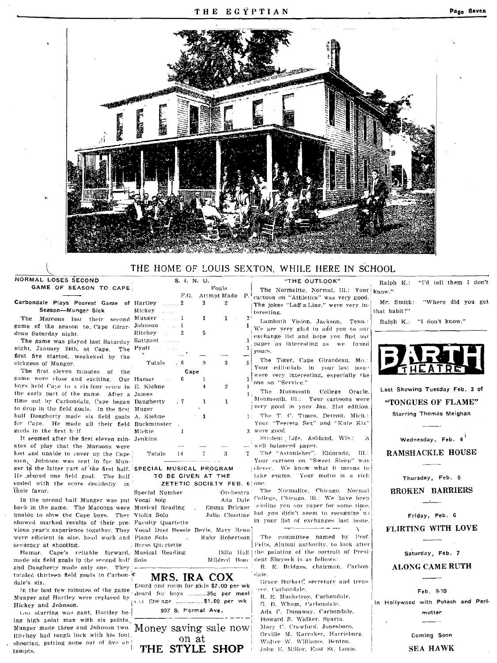

#### THE HOME OF LOUIS SEXTON, WHILE HERE IN SCHOOL

#### NORMAL LOSES SECOND GAME OF SEASON TO CAPE

Carbondale Plays Poorest Game of Hartley ......2 Season-Munger Sick

The Marcons lost their second Munger game of the season to Cape Girar. Johnson deau Saturday night.

The game was played last Saturd: night, January 24th, at Cape. T first five started, weakened by th sickness of Munger.

The first eleven minutes of tl game were close and exciting. O boys held Cape to a six-four score the early part of the game. After time out by Carbondale, Cape bega to drop in the field goals. In the fir half Daugherty made six field goa for Cape. He made all their fie goals in the first helf

It seemed after the first eleven min- Jenkins utes of play that the Maroons were lost and unable to cover up the Cape men, Johnson was sent in for Munger in the latter part of the first half. SPECIAL MUSICAL PROGRAM He scored one field goal. The half ended with the score decidedly in their favor.

In the second half Munger was put Vocal solo back in the game. The Marcons were Musical Reading unable to slow the Cape boys. They Violin Solo showed marked results of their pre- Faculty Quartette vious year's experience together. They Vocal Duet Bessie Bevis, Mary Reno. were efficient in size, head work and Piano Soloaccuracy at shooting.

Hamar, Cape's reliable forward, Musical Reading made six field goals in the second half Solo and Daugherty made only one They totaled thirteen field goals to Carbon-K dale's six.

Gur starring was gant, Hartley being high noint man with six points. Ritchey had tough luck with his foul. shooting, getting none out of five at tempts.

Hickey  $\mathbf{1}$  $\sim$  1 Ritchev ...  $\overline{2}$ 

|      | <sub>ty</sub> Sattgast |     |      |  |
|------|------------------------|-----|------|--|
|      | ne Pyatt               |     |      |  |
| ie - |                        |     |      |  |
|      | Totals                 | 6   |      |  |
| ıe   |                        |     | Cape |  |
|      | ar Hamar               | 6   |      |  |
|      | iu E. Kiehne           |     |      |  |
|      | a James                |     |      |  |
|      | ın Daugherty           | . 7 |      |  |
|      | st Muger               |     |      |  |
|      | ls A. Kieline          |     |      |  |
|      | ld Buckminster         |     |      |  |

Michie Totals  $14$ 

#### TO BE GIVEN AT THE ZETETIC SOCIETY FEB. 6 one

S. I. N. U.

 $\overline{3}$ 

 $\mathbf 1$ 

5

Fouls

 $2<sup>2</sup>$ 

 $\mathbf{1}$ 

 $\overline{5}$ 

Special Number  $\sim 10$ Ruby Robertson

: Brass Quartette Mildred Bone

MRS. IRA COX

Loard and room for gials \$7.00 per wk In the last few minutes of the game. Brand for boys ..............35<sub>0</sub> per meal In the last lew *introduce to the Company Brain and John million* Munger and Hartley were replaced by  $\frac{1}{2}$  Car Sto age *million S*1.00 per wk 907 S. Normal Ave. Munger made three and Johnson two. Money saving sale now on at

THE STYLE SHOP

#### "THE OUTLOOK"

The Normalite, Normal, Ill.: Your know." F.G. Attmpt Made P. cartoon on "Athletics" was very good. The jokes "Laff-a-Line," were very interesting.  $\ddot{\mathbf{z}}$ 

Lambuth Vision, Jackson, Tenn.:  $1$  We are very glad to add you to our exchange list and hope you find our paper as interesting as we found  $\mathbf{I}$ yours.

The Tiger, Cape Girardeau, Mo.: Your editorials in your last issue 1 were very interesting, especially the one on "Service."

The Monmouth College Oracle,  $1\frac{1}{2}$  Monmouth, Ill.: Your cartoons were very good in your Jan. 21st edition. The T. C. Times, Detroit, Mich.:  $1:$ Your "Teeceta Sez" and "Kute Kix' 3 were good.

Student Life, Ashland, Wis.: well balanced paper.

The "Astonisher". Eldorado, Ill.: Your cartoon on "Sweet Sleep" was (clever. We know what it means to take exams. Your motto is a rich

Orchestra The Normalite, Chicago, Normal Ada Dale College, Chicago, Ill.: We have been . Emma Bricker sending you our paper for some time. Julia Chastine but you didn't seem to recognize us in your list of exchanges last issue. المستراسيات

> The committee named by Prof. Felts, Alumni authority, to look after Dilla Hall the painting of the portrait of President Shrvock is as follows: R. E. Bridges, chairman, Carbon dale. Grace Burkett, secretary and treas ver Carbondale.

R. E. Muckelroy, Carbondale. G. D. Wham, Carbondale. Ada C. Dunaway, Carbondale. Howard S. Walker, Sparta. Mary C. Crawford, Jonesboro, Orville M. Karraker, Harrisburg. Walter W. Williams, Benton, John E. Miller, East St. Louis.

Ralph K.: "I'd tell them I don't

Mr. Smith: "Where did you get that habit?"

Ralph K.: "I don't know."



Last Showing Tuesday Feb. 3 of

"TONGUES OF FLAME"

Starring Thomas Meighan

Wednesday, Feb. 4

RAMSHACKLE HOUSE

Thursday, Feb. 5

**BROKEN BARRIERS** 

Friday, Feb. 6

FLIRTING WITH LOVE

Saturday, Feb. 7

**ALONG CAME RUTH** 

Feb. 9-10

in Hollywood with Potash and Perimutter

Comina Soon **SEA HAWK**